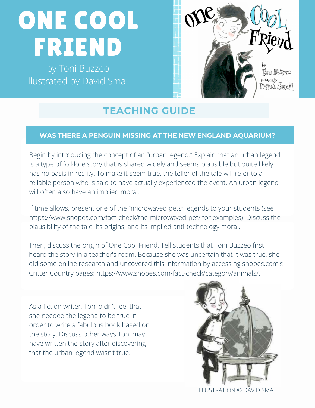# ONE COOL FRIEND

by Toni Buzzeo illustrated by David Small



## **TEACHING GUIDE**

#### **WAS THERE A PENGUIN MISSING AT THE NEW ENGLAND AQUARIUM?**

Begin by introducing the concept of an "urban legend." Explain that an urban legend is a type of folklore story that is shared widely and seems plausible but quite likely has no basis in reality. To make it seem true, the teller of the tale will refer to a reliable person who is said to have actually experienced the event. An urban legend will often also have an implied moral.

If time allows, present one of the "microwaved pets" legends to your students (see <https://www.snopes.com/fact-check/the-microwaved-pet/> for examples). Discuss the plausibility of the tale, its origins, and its implied anti-technology moral.

Then, discuss the origin of One Cool Friend. Tell students that Toni Buzzeo first heard the story in a teacher's room. Because she was uncertain that it was true, she did some online research and uncovered this information by accessing [snopes.com](http://snopes.com/)'s Critter Country pages: [https://www.snopes.com/fact-check/category/animals/.](https://www.snopes.com/fact-check/category/animals/)

As a fiction writer, Toni didn't feel that she needed the legend to be true in order to write a fabulous book based on the story. Discuss other ways Toni may have written the story after discovering that the urban legend wasn't true.



ILLUSTRATION © DAVID SMALL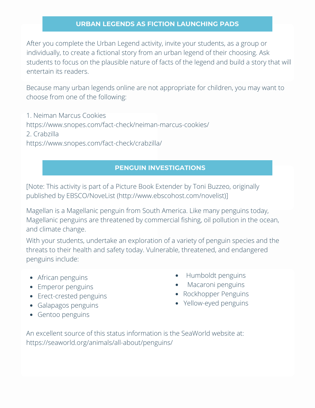#### **URBAN LEGENDS AS FICTION LAUNCHING PADS**

After you complete the Urban Legend activity, invite your students, as a group or individually, to create a fictional story from an urban legend of their choosing. Ask students to focus on the plausible nature of facts of the legend and build a story that will entertain its readers.

Because many urban legends online are not appropriate for children, you may want to choose from one of the following:

1. Neiman Marcus Cookies <https://www.snopes.com/fact-check/neiman-marcus-cookies/> 2. Crabzilla <https://www.snopes.com/fact-check/crabzilla/>

#### **PENGUIN INVESTIGATIONS**

[Note: This activity is part of a Picture Book Extender by Toni Buzzeo, originally published by EBSCO/NoveList (<http://www.ebscohost.com/novelist>)]

Magellan is a Magellanic penguin from South America. Like many penguins today, Magellanic penguins are threatened by commercial fishing, oil pollution in the ocean, and climate change.

With your students, undertake an exploration of a variety of penguin species and the threats to their health and safety today. Vulnerable, threatened, and endangered penguins include:

- African penguins
- Emperor penguins
- Erect-crested penguins
- Galapagos penguins
- Gentoo penguins
- Humboldt penguins
- Macaroni penguins
- Rockhopper Penguins
- Yellow-eyed penguins

An excellent source of this status information is the SeaWorld website at: https://seaworld.org/animals/all-about/penguins/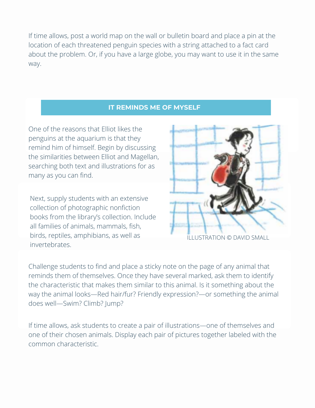If time allows, post a world map on the wall or bulletin board and place a pin at the location of each threatened penguin species with a string attached to a fact card about the problem. Or, if you have a large globe, you may want to use it in the same way.

#### **IT REMINDS ME OF MYSELF**

One of the reasons that Elliot likes the penguins at the aquarium is that they remind him of himself. Begin by discussing the similarities between Elliot and Magellan, searching both text and illustrations for as many as you can find.

Next, supply students with an extensive collection of photographic nonfiction books from the library's collection. Include all families of animals, mammals, fish, birds, reptiles, amphibians, as well as invertebrates.



ILLUSTRATION © DAVID SMALL ILLUSTRATION © DAVID SMALL

Challenge students to find and place a sticky note on the page of any animal that reminds them of themselves. Once they have several marked, ask them to identify the characteristic that makes them similar to this animal. Is it something about the way the animal looks—Red hair/fur? Friendly expression?—or something the animal does well—Swim? Climb? Jump?

If time allows, ask students to create a pair of illustrations—one of themselves and one of their chosen animals. Display each pair of pictures together labeled with the common characteristic.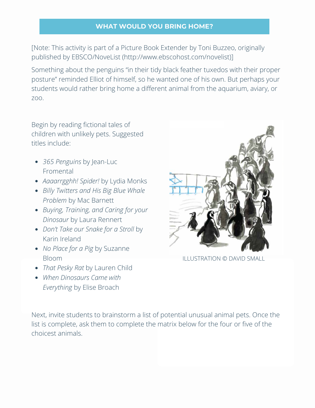#### **WHAT WOULD YOU BRING HOME?**

[Note: This activity is part of a Picture Book Extender by Toni Buzzeo, originally published by EBSCO/NoveList [\(http://www.ebscohost.com/novelist](http://www.ebscohost.com/novelist))]

Something about the penguins "in their tidy black feather tuxedos with their proper posture" reminded Elliot of himself, so he wanted one of his own. But perhaps your students would rather bring home a different animal from the aquarium, aviary, or zoo.

Begin by reading fictional tales of children with unlikely pets. Suggested titles include:

- *365 Penguins* by Jean-Luc Fromental
- *Aaaarrgghh! Spider!* by Lydia Monks
- *Billy Twitters and His Big Blue Whale Problem* by Mac Barnett
- *Buying, Training, and Caring for your Dinosaur* by Laura Rennert
- *Don't Take our Snake for a Stroll* by Karin Ireland
- *No Place for a Pig* by Suzanne Bloom
- *That Pesky Rat* by Lauren Child
- *When Dinosaurs Came with Everything* by Elise Broach



ILLUSTRATION © DAVID SMALL

Next, invite students to brainstorm a list of potential unusual animal pets. Once the list is complete, ask them to complete the matrix below for the four or five of the choicest animals.